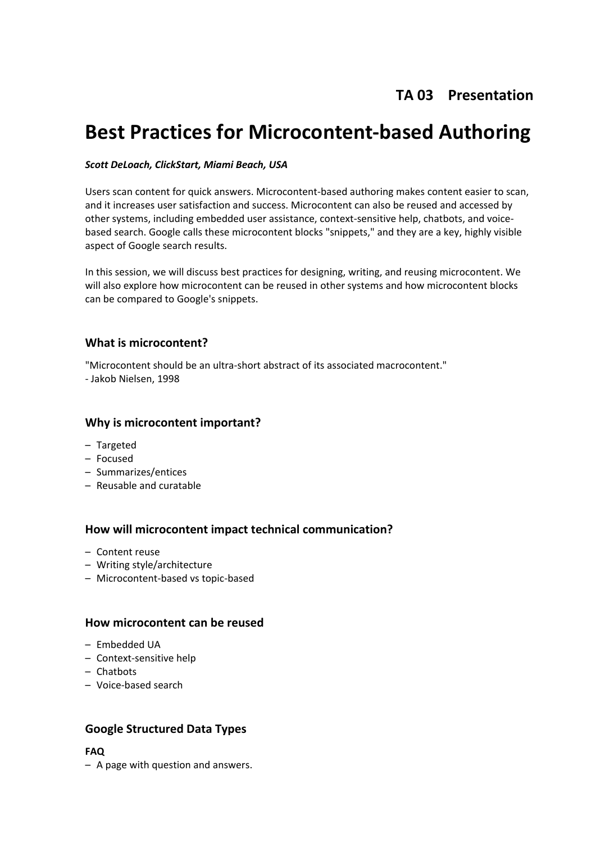# **TA 03 Presentation**

# **Best Practices for Microcontent-based Authoring**

#### *Scott DeLoach, ClickStart, Miami Beach, USA*

Users scan content for quick answers. Microcontent-based authoring makes content easier to scan, and it increases user satisfaction and success. Microcontent can also be reused and accessed by other systems, including embedded user assistance, context-sensitive help, chatbots, and voicebased search. Google calls these microcontent blocks "snippets," and they are a key, highly visible aspect of Google search results.

In this session, we will discuss best practices for designing, writing, and reusing microcontent. We will also explore how microcontent can be reused in other systems and how microcontent blocks can be compared to Google's snippets.

# **What is microcontent?**

"Microcontent should be an ultra-short abstract of its associated macrocontent." - Jakob Nielsen, 1998

#### **Why is microcontent important?**

- Targeted
- Focused
- Summarizes/entices
- Reusable and curatable

# **How will microcontent impact technical communication?**

- Content reuse
- Writing style/architecture
- Microcontent-based vs topic-based

#### **How microcontent can be reused**

- Embedded UA
- Context-sensitive help
- Chatbots
- Voice-based search

# **Google Structured Data Types**

#### **FAQ**

– A page with question and answers.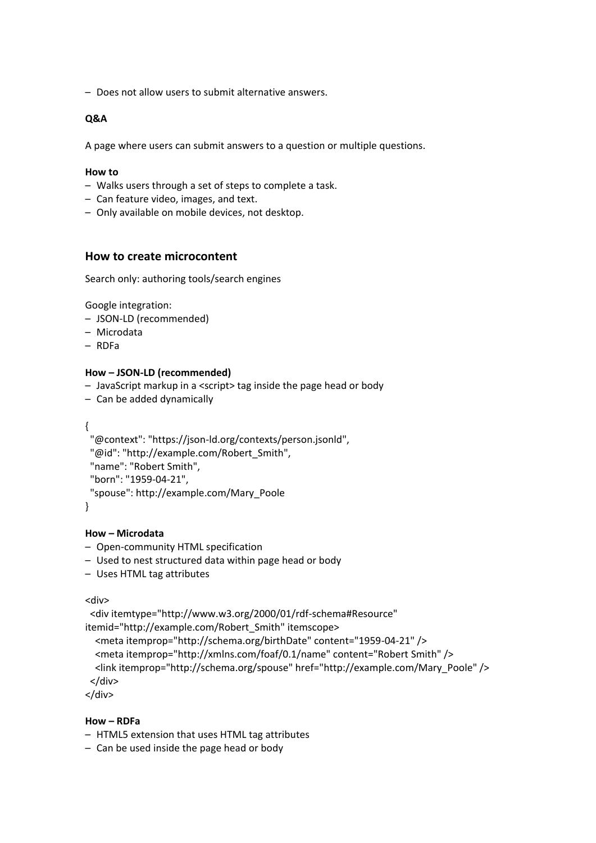– Does not allow users to submit alternative answers.

#### **Q&A**

A page where users can submit answers to a question or multiple questions.

#### **How to**

- Walks users through a set of steps to complete a task.
- Can feature video, images, and text.
- Only available on mobile devices, not desktop.

#### **How to create microcontent**

Search only: authoring tools/search engines

Google integration:

- JSON-LD (recommended)
- Microdata
- RDFa

#### **How – JSON-LD (recommended)**

- JavaScript markup in a <script> tag inside the page head or body
- Can be added dynamically

{

```
 "@context": "https://json-ld.org/contexts/person.jsonld",
 "@id": "http://example.com/Robert_Smith",
 "name": "Robert Smith",
 "born": "1959-04-21",
 "spouse": http://example.com/Mary_Poole
```
}

#### **How – Microdata**

- Open-community HTML specification
- Used to nest structured data within page head or body
- Uses HTML tag attributes

<div>

```
 <div itemtype="http://www.w3.org/2000/01/rdf-schema#Resource" 
itemid="http://example.com/Robert_Smith" itemscope>
   <meta itemprop="http://schema.org/birthDate" content="1959-04-21" />
   <meta itemprop="http://xmlns.com/foaf/0.1/name" content="Robert Smith" />
   <link itemprop="http://schema.org/spouse" href="http://example.com/Mary_Poole" />
 </div>
```
</div>

#### **How – RDFa**

- HTML5 extension that uses HTML tag attributes
- Can be used inside the page head or body